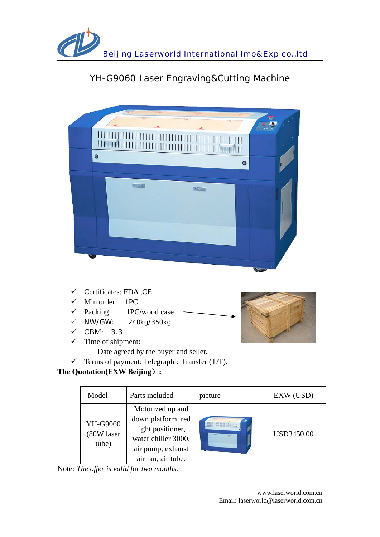

# YH-G9060 Laser Engraving&Cutting Machine

| $\bullet$<br>$\bullet$ |  |
|------------------------|--|
| $\alpha$               |  |
|                        |  |
|                        |  |

- $\checkmark$  Certificates: FDA, CE
- $\checkmark$  Min order: 1PC
- $\checkmark$  Packing: 1PC/wood case
- $\checkmark$  NW/GW: 240kg/350kg
- $\checkmark$  CBM: 3.3
- $\checkmark$  Time of shipment:



 $\checkmark$  Terms of payment: Telegraphic Transfer (T/T).

# **The Quotation(EXW Beijing**)**:**

| Model                           | Parts included                                                                                                                | picture | EXW (USD)         |
|---------------------------------|-------------------------------------------------------------------------------------------------------------------------------|---------|-------------------|
| YH-G9060<br>(80W laser<br>tube) | Motorized up and<br>down platform, red<br>light positioner,<br>water chiller 3000,<br>air pump, exhaust<br>air fan, air tube. |         | <b>USD3450.00</b> |

Note*: The offer is valid for two months.* 

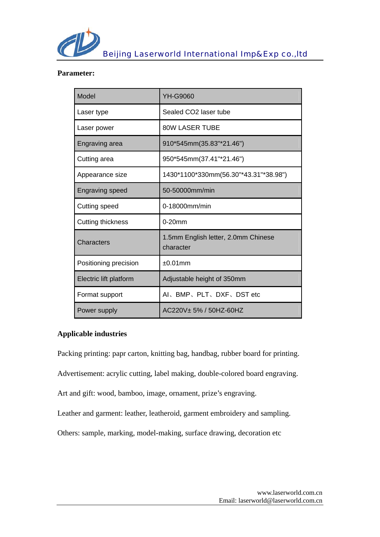

#### **Parameter:**

| Model                  | <b>YH-G9060</b>                                  |  |
|------------------------|--------------------------------------------------|--|
| Laser type             | Sealed CO2 laser tube                            |  |
| Laser power            | <b>80W LASER TUBE</b>                            |  |
| Engraving area         | 910*545mm(35.83"*21.46")                         |  |
| Cutting area           | 950*545mm(37.41"*21.46")                         |  |
| Appearance size        | 1430*1100*330mm(56.30"*43.31"*38.98")            |  |
| <b>Engraving speed</b> | 50-50000mm/min                                   |  |
| Cutting speed          | 0-18000mm/min                                    |  |
| Cutting thickness      | $0-20$ mm                                        |  |
| Characters             | 1.5mm English letter, 2.0mm Chinese<br>character |  |
| Positioning precision  | $±0.01$ mm                                       |  |
| Electric lift platform | Adjustable height of 350mm                       |  |
| Format support         | AI、BMP、PLT、DXF、DST etc                           |  |
| Power supply           | AC220V + 5% / 50HZ-60HZ                          |  |

# **Applicable industries**

Packing printing: papr carton, knitting bag, handbag, rubber board for printing.

Advertisement: acrylic cutting, label making, double-colored board engraving.

Art and gift: wood, bamboo, image, ornament, prize's engraving.

Leather and garment: leather, leatheroid, garment embroidery and sampling.

Others: sample, marking, model-making, surface drawing, decoration etc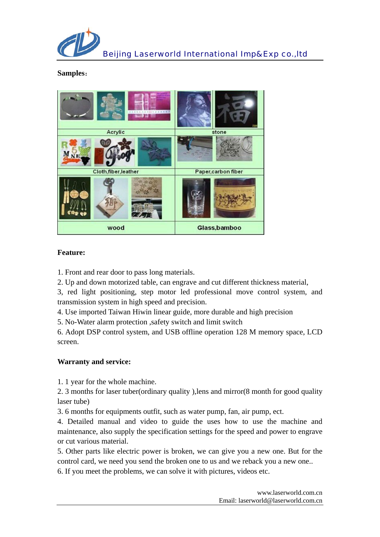

#### **Samples**:



#### **Feature:**

1. Front and rear door to pass long materials.

2. Up and down motorized table, can engrave and cut different thickness material,

3, red light positioning, step motor led professional move control system, and transmission system in high speed and precision.

4. Use imported Taiwan Hiwin linear guide, more durable and high precision

5. No-Water alarm protection ,safety switch and limit switch

6. Adopt DSP control system, and USB offline operation 128 M memory space, LCD screen.

# **Warranty and service:**

1. 1 year for the whole machine.

2. 3 months for laser tuber(ordinary quality ),lens and mirror(8 month for good quality laser tube)

3. 6 months for equipments outfit, such as water pump, fan, air pump, ect.

4. Detailed manual and video to guide the uses how to use the machine and maintenance, also supply the specification settings for the speed and power to engrave or cut various material.

5. Other parts like electric power is broken, we can give you a new one. But for the control card, we need you send the broken one to us and we reback you a new one..

6. If you meet the problems, we can solve it with pictures, videos etc.